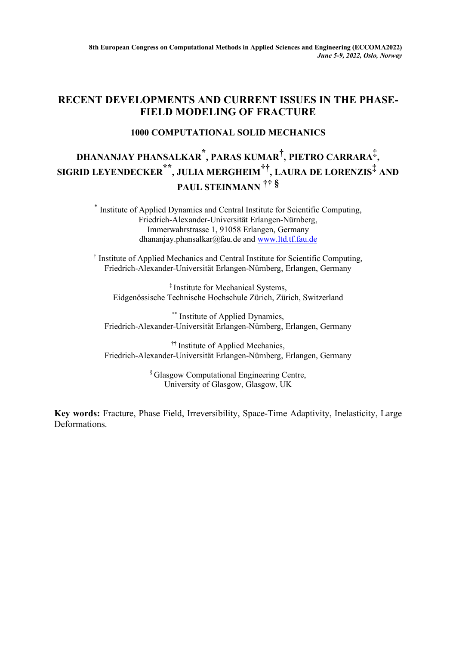## **RECENT DEVELOPMENTS AND CURRENT ISSUES IN THE PHASE-FIELD MODELING OF FRACTURE**

## **1000 COMPUTATIONAL SOLID MECHANICS**

## **DHANANJAY PHANSALKAR \*, PARAS KUMAR† , PIETRO CARRARA‡, SIGRID LEYENDECKER \*\* , JULIA MERGHEIM†† , LAURA DE LORENZIS‡ AND PAUL STEINMANN †† §**

\* Institute of Applied Dynamics and Central Institute for Scientific Computing, Friedrich-Alexander-Universität Erlangen-Nürnberg, Immerwahrstrasse 1, 91058 Erlangen, Germany dhananjay.phansalkar@fau.de and www.ltd.tf.fau.de

† Institute of Applied Mechanics and Central Institute for Scientific Computing, Friedrich-Alexander-Universität Erlangen-Nürnberg, Erlangen, Germany

‡ Institute for Mechanical Systems, Eidgenössische Technische Hochschule Zürich, Zürich, Switzerland

\*\* Institute of Applied Dynamics, Friedrich-Alexander-Universität Erlangen-Nürnberg, Erlangen, Germany

<sup>††</sup> Institute of Applied Mechanics, Friedrich-Alexander-Universität Erlangen-Nürnberg, Erlangen, Germany

> § Glasgow Computational Engineering Centre, University of Glasgow, Glasgow, UK

**Key words:** Fracture, Phase Field, Irreversibility, Space-Time Adaptivity, Inelasticity, Large **Deformations**